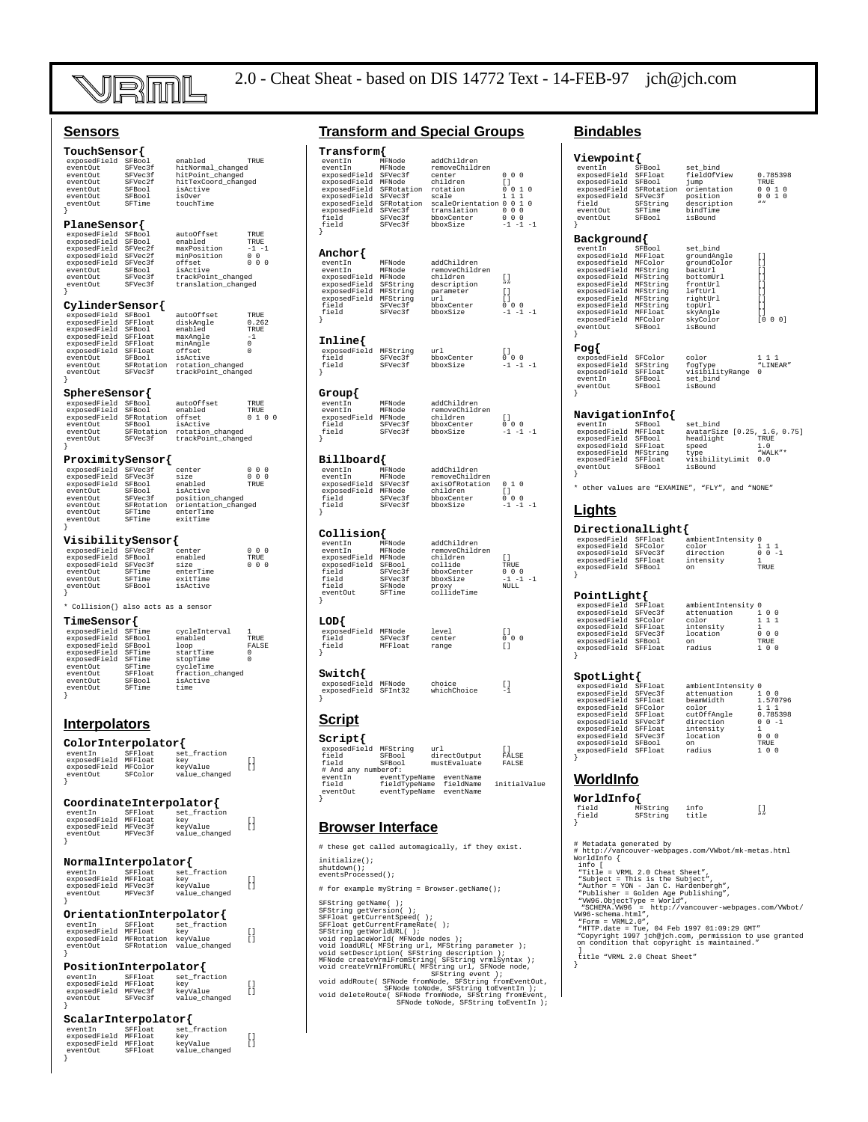

## **Sensors**

| $\mathtt{TouchSensor}\{$                                                                                                        |                        |                                                                        |                                                      |
|---------------------------------------------------------------------------------------------------------------------------------|------------------------|------------------------------------------------------------------------|------------------------------------------------------|
| exposedField SFBool                                                                                                             |                        | enabled                                                                | TRUE                                                 |
| eventOut<br>eventOut                                                                                                            | SFVec3f<br>SFVec3f     | hitNormal_changed<br>hitPoint_changed                                  |                                                      |
| eventOut                                                                                                                        | SFVec2f                | hitTexCoord changed                                                    |                                                      |
| eventOut<br>eventOut                                                                                                            | SFBool<br>SFBool       | isActive<br>isOver                                                     |                                                      |
| eventOut                                                                                                                        | SFTime                 | touchTime                                                              |                                                      |
|                                                                                                                                 |                        |                                                                        |                                                      |
| PlaneSensor{                                                                                                                    |                        |                                                                        |                                                      |
| exposedField                                                                                                                    | SFBool                 | autoOffset                                                             | <b>TRUE</b>                                          |
| exposedField                                                                                                                    | SFBool                 | enabled<br>maxPosition                                                 | TRUE<br>$-1$<br>$-1$                                 |
|                                                                                                                                 |                        | minPosition                                                            | $0\quad 0$                                           |
| exposedField SFVec2f<br>exposedField SFVec2f<br>exposedField SFVec3f<br>eventOut SFBool                                         |                        | offset<br>isActive                                                     | $0\ 0\ 0$                                            |
| eventOut                                                                                                                        | SFVec3f                | trackPoint_changed                                                     |                                                      |
| eventOut<br>ļ                                                                                                                   | SFVec3f                | translation_changed                                                    |                                                      |
|                                                                                                                                 |                        |                                                                        |                                                      |
| CylinderSensor{                                                                                                                 |                        |                                                                        |                                                      |
| exposedField SFBool<br>exposedField SFFloat<br>exposedField SFFloat<br>exposedField SFBool                                      | SFFloat                | autoOffset<br>diskAngle                                                | TRUE<br>0.262                                        |
|                                                                                                                                 |                        | enabled                                                                | TRUE                                                 |
| exposedField SFFloat<br>exposedField SFFloat<br>exposedField SFFloat<br>exposedField SFFloat                                    |                        | maxAngle                                                               | -1<br>$\Omega$                                       |
|                                                                                                                                 |                        | minAngle                                                               | n                                                    |
| eventOut                                                                                                                        | SFBool                 | offset<br>isActive                                                     |                                                      |
| eventOut<br>eventOut                                                                                                            | SFVec3f                | SFRotation rotation_changed<br>trackPoint_changed                      |                                                      |
|                                                                                                                                 |                        |                                                                        |                                                      |
| ${\tt Spheresensor} \{$                                                                                                         |                        |                                                                        |                                                      |
| Prices between the separate exposed<br>Field SFBool<br>exposedField SFRotation<br>eventout SFBool<br>with SFBotation            |                        | autoOffset                                                             | TRUE                                                 |
|                                                                                                                                 |                        | enabled                                                                | TRUE<br>100                                          |
|                                                                                                                                 |                        | offset<br>isActive                                                     |                                                      |
| eventOut                                                                                                                        |                        |                                                                        |                                                      |
| eventOut<br>ł                                                                                                                   |                        | SFBool --<br>SFRotation rotation_cnanged<br>^*Vac}f trackPoint_changed |                                                      |
|                                                                                                                                 |                        |                                                                        |                                                      |
| ProximitySensor{<br>exposedField SFVec3f<br>exposedField SFVec3f                                                                |                        | center                                                                 | $\begin{matrix} 0 & 0 & 0 \\ 0 & 0 & 0 \end{matrix}$ |
|                                                                                                                                 |                        | size                                                                   |                                                      |
| exposedField SFBool<br>eventOut                                                                                                 |                        | enabled<br>isActive                                                    | TRUE                                                 |
| eventOut                                                                                                                        | ⊔∪01<br>SFVec3f<br>err | position_changed                                                       |                                                      |
| eventOut<br>eventOut                                                                                                            |                        | SFRotation orientation_changed<br>SFTime enterTime                     |                                                      |
| eventOut                                                                                                                        | SFTime                 | exitTime                                                               |                                                      |
| ł                                                                                                                               |                        |                                                                        |                                                      |
| VisibilitySensor{                                                                                                               |                        |                                                                        |                                                      |
|                                                                                                                                 |                        | center<br>enabled                                                      | $0$ 0 0<br>TRUE                                      |
|                                                                                                                                 |                        | size                                                                   | $0\ 0\ 0$                                            |
| * Dependent of the control of the control<br>exposedField SFVec3f<br>exposedField SFVec3f<br>exertOut SFTime<br>eventOut SFTime | SFTime                 | enterTime<br>exitTime                                                  |                                                      |
| eventOut<br>eventOut                                                                                                            | SFBool                 | isActive                                                               |                                                      |
| ł                                                                                                                               |                        |                                                                        |                                                      |
| * Collision{} also acts as a sensor                                                                                             |                        |                                                                        |                                                      |
| $TimeSensor\{$                                                                                                                  |                        |                                                                        |                                                      |
| exposedField SFTime                                                                                                             |                        | cycleInterval                                                          | 1                                                    |
| exposedField                                                                                                                    | SFBool                 | enabled                                                                | TRUE                                                 |
| exposedrield SFBool<br>exposedrield SFTime<br>exposedrield SFTime                                                               |                        | loop<br>startTime                                                      | FALSE<br>$\Omega$                                    |
|                                                                                                                                 |                        | stopTime                                                               | $\Omega$                                             |
| eventOut<br>event0ut                                                                                                            | SFTime<br>SFFloat      | cycleTime                                                              |                                                      |
| event0ut                                                                                                                        | SFBool                 | fraction_changed<br>isActive                                           |                                                      |
| eventOut                                                                                                                        | SFTime                 | time                                                                   |                                                      |
| $\overline{\phantom{a}}$                                                                                                        |                        |                                                                        |                                                      |
|                                                                                                                                 |                        |                                                                        |                                                      |
| <b>Interpolators</b>                                                                                                            |                        |                                                                        |                                                      |
| ColorInterpolator{                                                                                                              |                        |                                                                        |                                                      |
| eventIn SFFloat<br>exposedField MFFloat<br>exposedField MFColor<br>eventOut SFColor                                             |                        | set_fraction                                                           |                                                      |
|                                                                                                                                 |                        | key                                                                    | $\begin{bmatrix} 1 \\ 1 \end{bmatrix}$               |
|                                                                                                                                 |                        | key<br>keyValue<br>value_changed                                       |                                                      |
|                                                                                                                                 |                        |                                                                        |                                                      |
| CoordinateInterpolator{                                                                                                         |                        |                                                                        |                                                      |
| eventIn                                                                                                                         |                        |                                                                        |                                                      |
|                                                                                                                                 |                        |                                                                        |                                                      |
| exposedField<br>exposedField                                                                                                    | MFFloat<br>MFVec3f     | SFFloat set_fraction<br>key<br>keyValue                                | E)<br>1<br>ſ                                         |

## $\begin{array}{l} \text{TRUE} \\ \text{TRUE} \\ -1 \quad -1 \\ 0 \quad 0 \\ \end{array}$ **Anchor{**

initialize(); shutdown(); eventsProcessed();

# for example myString = Browser.getName();

SPString getNeme();<br>SPString getNersion();<br>SPString getNersion();<br>SPFloat getCurrentSpeed();<br>SPFloat getNorldURL();<br>SPFloat getNorldURL();<br>void replaceRorld(MFNOde nodes);<br>void endement (MFNOde nodes);<br>void setDspeed(MFNOD

| offset.             |  |  |
|---------------------|--|--|
| isActive            |  |  |
| trackPoint changed  |  |  |
| translation changed |  |  |
|                     |  |  |
|                     |  |  |

| sedField        | SFBool     | autoOffset         | TR       |
|-----------------|------------|--------------------|----------|
| sedField        | SFFloat    | diskAngle          | 0.       |
| sedField        | SFBool     | enabled            | TR       |
| sedField        | SFFloat    | maxAngle           | $-1$     |
| sedField        | SFFloat    | minAngle           | 0        |
| sedField        | SFFloat    | offset             | $\Omega$ |
| tOut            | SFBool     | isActive           |          |
| tOut            | SFRotation | rotation changed   |          |
| .t0ut           | SFVec3f    | trackPoint changed |          |
|                 |            |                    |          |
| ereSensor{      |            |                    |          |
|                 |            |                    |          |
| sedField SFBool |            | autoOffset         | TR       |
| sedField SFBool |            | enabled            | TR       |

# eventOut SFVec3f trackPoint\_changed

| exposedField | SFVec3f    | center              |      | n |
|--------------|------------|---------------------|------|---|
| exposedField | SFVec3f    | size                |      | O |
| exposedField | SFBool     | enabled             | TRUE |   |
| eventOut     | SFBool     | isActive            |      |   |
| eventOut     | SFVec3f    | position changed    |      |   |
| eventOut     | SFRotation | orientation changed |      |   |
| eventOut     | SFTime     | enterTime           |      |   |
| eventOut     | SFTime     | exitTime            |      |   |
|              |            |                     |      |   |

| exposedField SFVec3f |         | center    |      | $\Omega$ |
|----------------------|---------|-----------|------|----------|
| exposedField         | SFBool  | enabled   | TRUE |          |
| exposedField         | SFVec3f | size      |      | $\Omega$ |
| eventOut             | SFTime  | enterTime |      |          |
| eventOut             | SFTime  | exitTime  |      |          |
| eventOut             | SFBool  | isActive  |      |          |
|                      |         |           |      |          |

| Timesensor   |         |                  |       |
|--------------|---------|------------------|-------|
| exposedField | SFTime  | cvcleInterval    |       |
| exposedField | SFBool  | enabled          | TRUE  |
| exposedField | SFBool  | loop             | FALSE |
| exposedField | SFTime  | startTime        |       |
| exposedField | SFTime  | stopTime         |       |
| eventOut     | SFTime  | cvcleTime        |       |
| eventOut     | SFFloat | fraction changed |       |
| eventOut     | SFBool  | isActive         |       |
| eventOut     | SFTime  | time             |       |
|              |         |                  |       |

| ColorInterpolator{ |         |               |  |  |
|--------------------|---------|---------------|--|--|
| eventIn            | SFFloat | set fraction  |  |  |
| exposedField       | MFFloat | key           |  |  |
| exposedField       | MFColor | kevValue      |  |  |
| eventOut           | SFColor | value changed |  |  |
|                    |         |               |  |  |

| eventIn      | SFFloat | set fraction  |
|--------------|---------|---------------|
| exposedField | MFFloat | kev           |
| exposedField | MFVec3f | kevValue      |
| eventOut     | MFVec3f | value changed |
|              |         |               |

#### **NormalInterpolator{**

| ----         | ------------ |               |    |
|--------------|--------------|---------------|----|
| eventIn      | SFFloat      | set fraction  |    |
| exposedField | MFFloat      | kev           | ſ١ |
| exposedField | MFVec3f      | kevValue      | ſ۱ |
| eventOut     | MFVec3f      | value changed |    |
|              |              |               |    |

#### **OrientationInterpolator{**

| eventIn<br>exposedField<br>exposedField<br>eventOut | SFFloat<br>MFFloat<br>MFRotation<br>SFRotation | set fraction<br>kev<br>kevValue<br>value changed | ſ۱<br>ſ۱ |
|-----------------------------------------------------|------------------------------------------------|--------------------------------------------------|----------|
|                                                     |                                                |                                                  |          |

#### **PositionInterpolator{**

| eventIn<br>exposedField<br>exposedField<br>eventOut | SFFloat<br>MFFloat<br>MFVec3f<br>SFVec3f | set fraction<br>kev<br>kevValue<br>value changed | ſΙ<br>ſ۱ |
|-----------------------------------------------------|------------------------------------------|--------------------------------------------------|----------|
|                                                     |                                          |                                                  |          |

#### **ScalarInterpolator{**

| eventIn      | SFFloat | set fraction  |    |
|--------------|---------|---------------|----|
| exposedField | MFFloat | kev           | ſ۱ |
| exposedField | MFFloat | kevValue      | ſ۱ |
| eventOut     | SFFloat | value changed |    |
|              |         |               |    |

# **Transform and Special Groups**

| $\mathtt{Transform}\{$<br>eventIn<br>-ventin MFNode - www.min<br>exposedField SFVec3f center<br>exposedField MFNode children<br>exposedField SFRotation rotation<br>exposedField SFVec3f scale<br>exposedField SFVec3f scale<br>ļ | MFNode                                                             | addChildren<br>removeChildren                                                                                                               | $\Omega$<br>0 <sub>0</sub><br>Ù.<br>$\circ$<br>$\Omega$<br>$-1$                                                                                  |
|-----------------------------------------------------------------------------------------------------------------------------------------------------------------------------------------------------------------------------------|--------------------------------------------------------------------|---------------------------------------------------------------------------------------------------------------------------------------------|--------------------------------------------------------------------------------------------------------------------------------------------------|
| Anchor{<br>eventIn<br>field<br>field                                                                                                                                                                                              | MFNode<br>Mr.<br>SFVec3f<br>-2f<br>$S$ $V$ $C$ $S$ $V$ $C$ $S$ $T$ | addChildren<br>removeChildren<br>children<br>description<br>parameter<br>url<br>bboxCenter<br>bboxSize                                      | $\left[ \begin{array}{c} 1 \end{array} \right]$<br>$\Box$<br>I)<br>$\Omega$<br>$\begin{smallmatrix}0 & 0 \\ -1 & -1\end{smallmatrix}$<br>$-1 -1$ |
| Inline{<br>exposedField MFString<br>field<br>field<br>ļ                                                                                                                                                                           | SFVec3f<br>SFVec3I<br>SFVec3f                                      | url<br>bboxCenter<br>bboxSize                                                                                                               | U<br>$0 \t 0 \t 0$<br>-1 -1 -1                                                                                                                   |
| Group{<br>eventIn<br>eventIn<br>exposedField MFNode<br>field<br>field                                                                                                                                                             | MFNode<br>MFNode<br>MFNode<br>MPN= d=<br>SFVec3f<br>SFVec3f        | addChildren<br>removeChildren<br>children<br>bboxCenter<br>bboxSize                                                                         | $\left[\begin{array}{c}1\end{array}\right]$<br>$0 \t 0 \t 0 \t -1 \t -1$<br>$-1 -1$                                                              |
| Billboard{<br>eventIn<br>eventIn<br>exposedField SFVec31<br>exposedField MFNode<br>field<br>field                                                                                                                                 | MFNode<br>MFNode<br>SFVec3f<br>S FVec3f<br>SFVec3f                 | addChildren<br>removeChildren<br>axisOfRotation<br>children<br>children<br>bboxCenter<br>bboxSize                                           | $\Omega$<br>$1\,$ 0<br>$\begin{bmatrix} 0 \\ 1 \\ 0 \\ 0 \\ -1 \end{bmatrix}$<br>$^{\circ}$<br>$-1$ $-1$ $-1$                                    |
| Collision{<br>eventIn<br>eventIn<br>exposedField MFNode<br>exposedField SFBool<br>field<br>field<br>field<br>eventOut                                                                                                             | MFNode<br>MFNode<br>SFVec3f<br>SFVec3f<br>SFNode<br>SFTime         | addChildren<br>removeChildren<br>children<br>collide<br>bboxCenter<br>bboxSize<br>proxy<br>collideTime                                      | $\Box$<br><b>TRUE</b><br>$0\ 0\ 0\ -1\ -1\ -1$<br>NULL.                                                                                          |
| LOD{<br>exposedField MFNode<br>field<br>field                                                                                                                                                                                     | SFVec3f<br>--<br>SFVect<br>MFFloat                                 | level<br>center<br>range                                                                                                                    | $\begin{smallmatrix} 1\\ 0&0&0 \end{smallmatrix}$                                                                                                |
| Switch{<br>exposedField MFNode<br>exposedField SFInt32                                                                                                                                                                            |                                                                    | choice<br>whichChoice                                                                                                                       | $\begin{array}{c} 1 \\ -1 \end{array}$                                                                                                           |
| <u>Script</u>                                                                                                                                                                                                                     |                                                                    |                                                                                                                                             |                                                                                                                                                  |
| Script{<br>exposedField MFString<br>field<br>field<br># And any numberof:<br>۱                                                                                                                                                    | SFBool<br>SFBool                                                   | url<br>directOutput<br>mustEvaluate<br>eventIn eventTypeName eventName<br>field fieldTypeName fieldName<br>eventOut eventTypeName eventName | $\Box$<br>FALSE<br><b>FALSE</b><br>initialValue                                                                                                  |
| <b>Browser Interface</b>                                                                                                                                                                                                          |                                                                    |                                                                                                                                             |                                                                                                                                                  |
| #                                                                                                                                                                                                                                 |                                                                    | these get called automagically, if they exist.                                                                                              |                                                                                                                                                  |

# **Bindables**

| Viewpoint{<br>eventIn<br>eventOut<br>ł                                                                                                                                                                                                                                      | SFBool<br>SFBool     | set_bind<br>eventIn SFBool set_bind<br>exposedField SFFloat fieldofView<br>exposedField SFBool jump<br>exposedField SFRotation orientation<br>exposedField SFRotation orientation<br>field SFString bescription<br>eventOut SFFload isBound<br>eventOut SFRool<br>isBound | 0.785398<br>TRUE<br>$\begin{array}{cccc} 0 & 0 & 1 & 0 \\ 0 & 0 & 1 & 0 \\  &  &  &  \end{array}$                                                                         |
|-----------------------------------------------------------------------------------------------------------------------------------------------------------------------------------------------------------------------------------------------------------------------------|----------------------|---------------------------------------------------------------------------------------------------------------------------------------------------------------------------------------------------------------------------------------------------------------------------|---------------------------------------------------------------------------------------------------------------------------------------------------------------------------|
| Background{<br>eventIn<br>eventin<br>exposedField MFColor<br>exposedField MFString<br>exposedField MFString<br>exposedField MFString<br>exposedField MFString<br>exposedField MFString<br>exposedField MFString<br>exposedField MFFloat<br>exposedField MFColor<br>eventOut | SFBool<br>SFBool     | set bind<br>groundAngle<br>groundColor<br>backUrl<br>bottomUrl<br>frontUrl<br>leftUrl<br>rightUrl<br>topUrl<br>skyAngle<br>skyColor<br>isBound                                                                                                                            | $\lceil$<br>$\begin{bmatrix} 1 \\ 1 \end{bmatrix}$<br>$[ \ ]$<br>ſ<br>1<br>ı<br>Т<br>$\lceil$<br>$\begin{bmatrix} 1 \\ 1 \end{bmatrix}$<br>[0 0 0]                        |
| ₹<br>Fog{<br>- Symbol SFColor<br>exposedField SFString<br>exposedField SFFloat<br>eventIn SFBool<br>construct SFBool<br>eventOut<br>∤                                                                                                                                       | SFBool               | color<br>fogType<br>visibilityRange<br>set_bind<br>isBound                                                                                                                                                                                                                | 1 1 1<br>"LINEAR"<br>$\Omega$                                                                                                                                             |
| NavigationInfo{<br>eventIn<br>exposedField MFFloat<br>exposedrield SFBool<br>exposedField SFFloat<br>exposedField NFString<br>exposedField SFFloat<br>exposedField SFFloat<br>---------<br>eventOut<br>ł                                                                    | SFBool<br>SFBool     | set_bind<br>set_bino<br>avatarSize [0.25, 1.6]<br>TRUE<br>headlight<br>speed<br>type<br>visibilityLimit<br>isBound                                                                                                                                                        | 1.6, 0.75<br>$1\,.\,0$<br>"WALK"*<br>0.0                                                                                                                                  |
|                                                                                                                                                                                                                                                                             |                      | * other values are "EXAMINE", "FLY", and "NONE"                                                                                                                                                                                                                           |                                                                                                                                                                           |
| <b>Lights</b>                                                                                                                                                                                                                                                               |                      |                                                                                                                                                                                                                                                                           |                                                                                                                                                                           |
| $\mathtt{DirectionalLight} \{$<br>exposedField SFFloat ambie<br>exposedField SFColor color<br>exposedField SFVec3f<br>exposedField SFFloat<br>exposedField SFBool                                                                                                           |                      | ambientIntensity 0<br>direction<br>intensity<br>on                                                                                                                                                                                                                        | 111<br>$0 \t 0 \t -1$<br>1<br>TRUE                                                                                                                                        |
|                                                                                                                                                                                                                                                                             |                      |                                                                                                                                                                                                                                                                           |                                                                                                                                                                           |
| PointLight{<br>exposedField SFFloat<br>exposedField SFVec3f<br>exposedField SFColor<br>exposedField SFFloat<br>exposedField SFVec3f<br>exposedField SFBool<br>exposedField SFFloat<br>ł                                                                                     |                      | ambientIntensity 0<br>attenuation<br>color<br>intensity<br>location<br>on<br>radius                                                                                                                                                                                       | 100<br>1<br>1<br>1<br>1<br>0 <sub>0</sub><br>TRUE<br>100                                                                                                                  |
| ${\tt SpotLight}\{$<br>exposedField SFFloat<br>exposedField SFVec3f<br>exposedField SFFloat<br>exposedField SFColor<br>exposedField SFFloat<br>exposedField SFVec3f<br>exposedField SFFloat<br>exposedField SFVec3f<br>exposedField SFBool<br>exposedField SFFloat<br>ł     |                      | ambientIntensity 0<br>attenuation<br>beamWidth<br>color<br>cutOffAngle<br>direction<br>intensity<br>location<br>on<br>radius                                                                                                                                              | $1\quad 0\quad 0$<br>1.570796<br>$1\hspace{0.1cm} 1\hspace{0.1cm} 1$<br>0.785398<br>$\circ$<br>$\Omega$<br>-1<br>$\mathbf{1}$<br>0 <sub>0</sub><br>TRUE<br>1 <sub>0</sub> |
| <u>WorldInfo</u>                                                                                                                                                                                                                                                            |                      |                                                                                                                                                                                                                                                                           |                                                                                                                                                                           |
| WorldInfo{<br>field<br>field<br>ł                                                                                                                                                                                                                                           | MFString<br>SFString | info<br>title                                                                                                                                                                                                                                                             | U                                                                                                                                                                         |
| # Metadata generated by<br>WorldInfo {<br>info [<br>"Title = VRML 2.0 Cheat Sheet",<br>"Subject = This is the Subject",<br>"Author = YON - Jan C. Hardenbergh",<br>"Publisher = Golden Age Publishing",<br>VW96-schema.html",<br>"Form = $VRML2.0"$                         | $\lambda$            | # http://vancouver-webpages.com/VWbot/mk-metas.html<br>"VW96.ObjectType = World",<br>"SCHEMA.VW96 = http://vancouver-webpages.com/VWbot/                                                                                                                                  |                                                                                                                                                                           |

"Form = VRML2.0", "HTTP.date = Tue, 04 Feb 1997 01:09:29 GMT" "Copyright 1997 jch@jch.com, permission to use granted on condition that copyright is maintained." ]

 title "VRML 2.0 Cheat Sheet" }